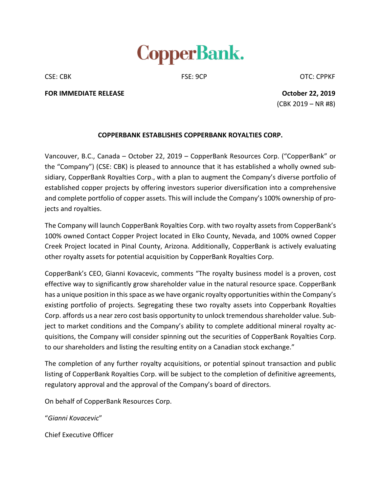

CSE: CBK CSE: 9CP CSE: 9CP CSE: CPPKF

**FOR IMMEDIATE RELEASE October 22, 2019**

(CBK 2019 – NR #8)

## **COPPERBANK ESTABLISHES COPPERBANK ROYALTIES CORP.**

Vancouver, B.C., Canada – October 22, 2019 – CopperBank Resources Corp. ("CopperBank" or the "Company") (CSE: CBK) is pleased to announce that it has established a wholly owned subsidiary, CopperBank Royalties Corp., with a plan to augment the Company's diverse portfolio of established copper projects by offering investors superior diversification into a comprehensive and complete portfolio of copper assets. This will include the Company's 100% ownership of projects and royalties.

The Company will launch CopperBank Royalties Corp. with two royalty assets from CopperBank's 100% owned Contact Copper Project located in Elko County, Nevada, and 100% owned Copper Creek Project located in Pinal County, Arizona. Additionally, CopperBank is actively evaluating other royalty assets for potential acquisition by CopperBank Royalties Corp.

CopperBank's CEO, Gianni Kovacevic, comments "The royalty business model is a proven, cost effective way to significantly grow shareholder value in the natural resource space. CopperBank has a unique position in this space as we have organic royalty opportunities within the Company's existing portfolio of projects. Segregating these two royalty assets into Copperbank Royalties Corp. affords us a near zero cost basis opportunity to unlock tremendous shareholder value. Subject to market conditions and the Company's ability to complete additional mineral royalty acquisitions, the Company will consider spinning out the securities of CopperBank Royalties Corp. to our shareholders and listing the resulting entity on a Canadian stock exchange."

The completion of any further royalty acquisitions, or potential spinout transaction and public listing of CopperBank Royalties Corp. will be subject to the completion of definitive agreements, regulatory approval and the approval of the Company's board of directors.

On behalf of CopperBank Resources Corp.

"*Gianni Kovacevic*"

Chief Executive Officer